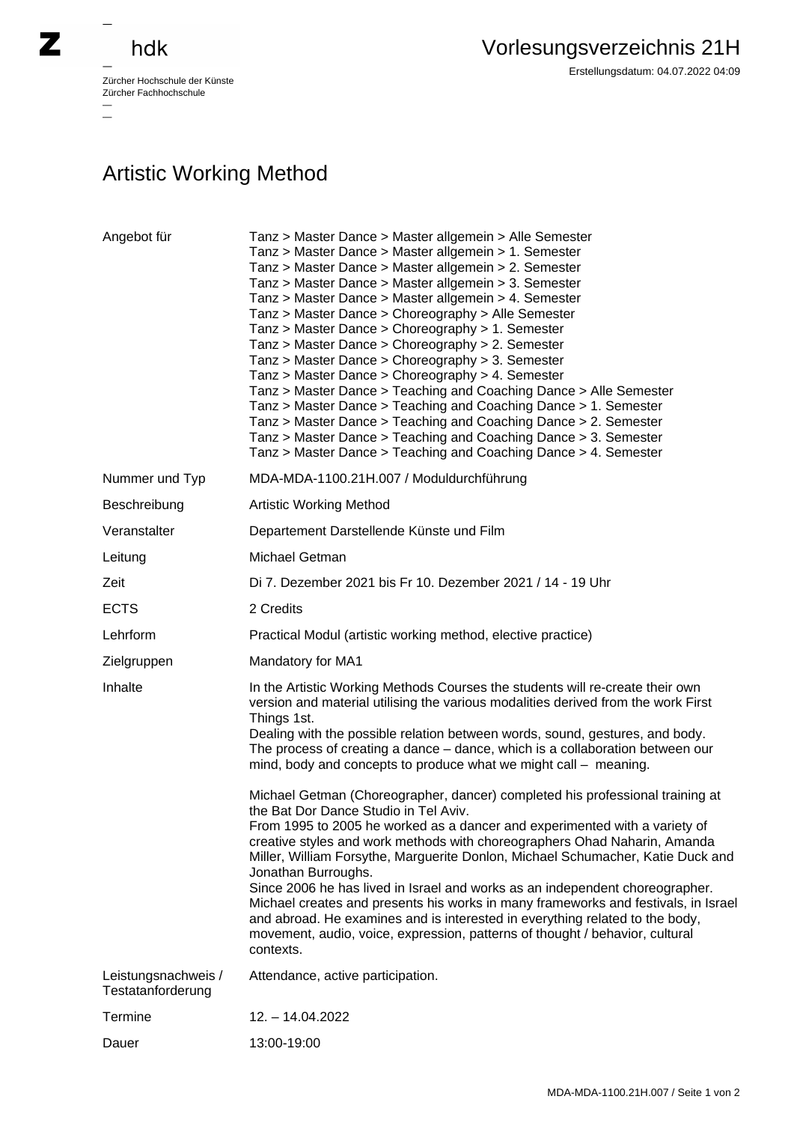## hdk

—

 $\equiv$ 

Zürcher Hochschule der Künste Zürcher Fachhochschule —

## Artistic Working Method

| Angebot für                              | Tanz > Master Dance > Master allgemein > Alle Semester<br>Tanz > Master Dance > Master allgemein > 1. Semester<br>Tanz > Master Dance > Master allgemein > 2. Semester<br>Tanz > Master Dance > Master allgemein > 3. Semester<br>Tanz > Master Dance > Master allgemein > 4. Semester<br>Tanz > Master Dance > Choreography > Alle Semester<br>Tanz > Master Dance > Choreography > 1. Semester<br>Tanz > Master Dance > Choreography > 2. Semester<br>Tanz > Master Dance > Choreography > 3. Semester<br>Tanz > Master Dance > Choreography > 4. Semester<br>Tanz > Master Dance > Teaching and Coaching Dance > Alle Semester<br>Tanz > Master Dance > Teaching and Coaching Dance > 1. Semester<br>Tanz > Master Dance > Teaching and Coaching Dance > 2. Semester<br>Tanz > Master Dance > Teaching and Coaching Dance > 3. Semester<br>Tanz > Master Dance > Teaching and Coaching Dance > 4. Semester |
|------------------------------------------|---------------------------------------------------------------------------------------------------------------------------------------------------------------------------------------------------------------------------------------------------------------------------------------------------------------------------------------------------------------------------------------------------------------------------------------------------------------------------------------------------------------------------------------------------------------------------------------------------------------------------------------------------------------------------------------------------------------------------------------------------------------------------------------------------------------------------------------------------------------------------------------------------------------|
| Nummer und Typ                           | MDA-MDA-1100.21H.007 / Moduldurchführung                                                                                                                                                                                                                                                                                                                                                                                                                                                                                                                                                                                                                                                                                                                                                                                                                                                                      |
| Beschreibung                             | <b>Artistic Working Method</b>                                                                                                                                                                                                                                                                                                                                                                                                                                                                                                                                                                                                                                                                                                                                                                                                                                                                                |
| Veranstalter                             | Departement Darstellende Künste und Film                                                                                                                                                                                                                                                                                                                                                                                                                                                                                                                                                                                                                                                                                                                                                                                                                                                                      |
| Leitung                                  | Michael Getman                                                                                                                                                                                                                                                                                                                                                                                                                                                                                                                                                                                                                                                                                                                                                                                                                                                                                                |
| Zeit                                     | Di 7. Dezember 2021 bis Fr 10. Dezember 2021 / 14 - 19 Uhr                                                                                                                                                                                                                                                                                                                                                                                                                                                                                                                                                                                                                                                                                                                                                                                                                                                    |
| <b>ECTS</b>                              | 2 Credits                                                                                                                                                                                                                                                                                                                                                                                                                                                                                                                                                                                                                                                                                                                                                                                                                                                                                                     |
| Lehrform                                 | Practical Modul (artistic working method, elective practice)                                                                                                                                                                                                                                                                                                                                                                                                                                                                                                                                                                                                                                                                                                                                                                                                                                                  |
| Zielgruppen                              | Mandatory for MA1                                                                                                                                                                                                                                                                                                                                                                                                                                                                                                                                                                                                                                                                                                                                                                                                                                                                                             |
| Inhalte                                  | In the Artistic Working Methods Courses the students will re-create their own<br>version and material utilising the various modalities derived from the work First<br>Things 1st.<br>Dealing with the possible relation between words, sound, gestures, and body.<br>The process of creating a dance – dance, which is a collaboration between our<br>mind, body and concepts to produce what we might call - meaning.                                                                                                                                                                                                                                                                                                                                                                                                                                                                                        |
|                                          | Michael Getman (Choreographer, dancer) completed his professional training at<br>the Bat Dor Dance Studio in Tel Aviv.<br>From 1995 to 2005 he worked as a dancer and experimented with a variety of<br>creative styles and work methods with choreographers Ohad Naharin, Amanda<br>Miller, William Forsythe, Marguerite Donlon, Michael Schumacher, Katie Duck and<br>Jonathan Burroughs.<br>Since 2006 he has lived in Israel and works as an independent choreographer.<br>Michael creates and presents his works in many frameworks and festivals, in Israel<br>and abroad. He examines and is interested in everything related to the body,<br>movement, audio, voice, expression, patterns of thought / behavior, cultural<br>contexts.                                                                                                                                                                |
| Leistungsnachweis /<br>Testatanforderung | Attendance, active participation.                                                                                                                                                                                                                                                                                                                                                                                                                                                                                                                                                                                                                                                                                                                                                                                                                                                                             |
| Termine                                  | 12. - 14.04.2022                                                                                                                                                                                                                                                                                                                                                                                                                                                                                                                                                                                                                                                                                                                                                                                                                                                                                              |
| Dauer                                    | 13:00-19:00                                                                                                                                                                                                                                                                                                                                                                                                                                                                                                                                                                                                                                                                                                                                                                                                                                                                                                   |